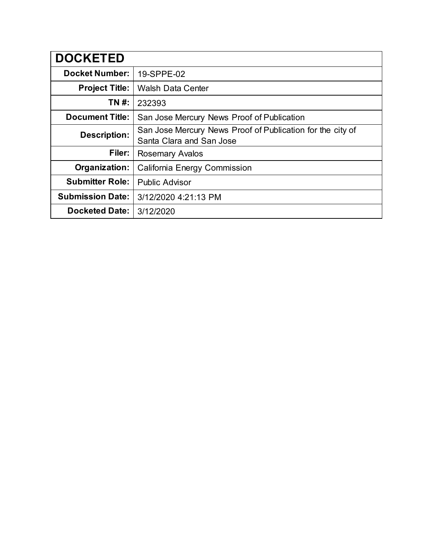| <b>DOCKETED</b>         |                                                                                        |
|-------------------------|----------------------------------------------------------------------------------------|
| <b>Docket Number:</b>   | 19-SPPE-02                                                                             |
| <b>Project Title:</b>   | <b>Walsh Data Center</b>                                                               |
| TN #:                   | 232393                                                                                 |
| <b>Document Title:</b>  | San Jose Mercury News Proof of Publication                                             |
| <b>Description:</b>     | San Jose Mercury News Proof of Publication for the city of<br>Santa Clara and San Jose |
| Filer:                  | <b>Rosemary Avalos</b>                                                                 |
| Organization:           | <b>California Energy Commission</b>                                                    |
| <b>Submitter Role:</b>  | <b>Public Advisor</b>                                                                  |
| <b>Submission Date:</b> | 3/12/2020 4:21:13 PM                                                                   |
| <b>Docketed Date:</b>   | 3/12/2020                                                                              |